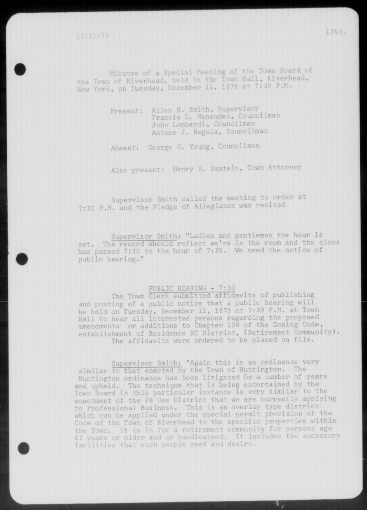Minutes of a Special Meeting of the Town Board of the Town of Riverhead, held in the Town Hall, Riverhead, New York, on Tuesday, December 11, 1979 at 7:30 P.M .

> Present: Allen M. Smith, Supervisor Francis E. Menendez, Councilman John Lombardi, Councilman Antone J. Regula, Councilman

Absent: George G. Young, Councilman

Also present: Henry S. Saxtein, Town Attorney

Supervisor Smith called the meeting to order at 7:30 P.M. and the Pledge of Allegiance was recited

Supervisor Smith: "Ladies and gentlemen the hour is set. The record should reflect we're in the room and the clock has passed 7:30 to the hour of 7:35. We need the notice of public hearing."

### PUBLIC HEARING - 7:30

The Town Clerk submitted affidavits of publishing and posting of a public notice that a public hearing will be held on Tuesday, December 11, 1979 at 7:30 P.M. at Town Hall to hear all interested persons regarding the proposed amendments or additions to Chapter 108 of the Zoning Code , establishment of Residence RC District, (Retirement Community). The affidavits were ordered to be placed on file.

Supervisor Smith: "Again this is an ordinance very similar to that enacted by the Town of Huntington. The Huntington ordinance has been litigated for a number of years and upheld. The technique that is being entertained by the Town Board in this particular instance is very similar to the enactment of the PB Use District that we are currently applying to Professional Business. This is an overlay type district which can be applied under the special permit provision of the Code of the Town of Riverhead to the specific properties within the Town. It is in for a retirement community for persons age 6 2 years or older and or handicapped. It includes the accessory facilities that such people need and desire.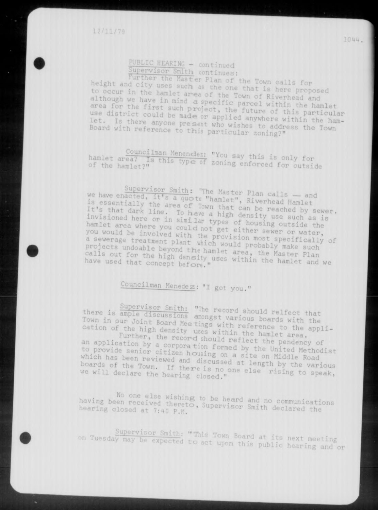# **PUBLIC\_HEARING - continued**

Supervisor Smith continues:<br>Further the Master Plan of the Town calls for height and city uses such as the one that is here proposed to occur in the hamlet area of the Town of Bivenhard and although we have in mind a specific parcel within the 1 area for the first such project, the future of this maniet use district could be made or applied anywhere within the hamlet. Is there anyone present who board with reference to this particular zoning?"

hamlet area? Is this tung of say this is only for of the hamlet?" The of zoning enforced for outside

we have enacted, it's a quote "hominat" p: is essentially the area of Tour that, Kiverhead Hamlet It's that dark line. To have a high dan be reached by sewer, invisioned here or in similar tunnel Calify use such as is hamlet area where you could not get in housing outside the you would be involved with the set either sewer or water, a sewerage treatment plant which we provision most specifically of a sewerage treatment plant which would probably make such calls out for the high density user area, the Master have used that concept before " uses within the hamlet and w

# Councilman Menedez : "I got you."

there is ample discussions are record should relfect that Town in our Joint Board Mee tings with sefections with the cation of the high density uses within the bamlet species appli-

an application by a component' " " ect the pendency to provide senior citizen h ... formed by the United Methodist which has been newigted and it is a site on Middle Road boards of the Town if there . I length by the variou we will declare the heaping als no one else rising to speak.

having been received themste co be hea "d and no communications hearing closed at 7:40 P.M. P. Supervisor Smith declared the

expected to act upon this public hearing and or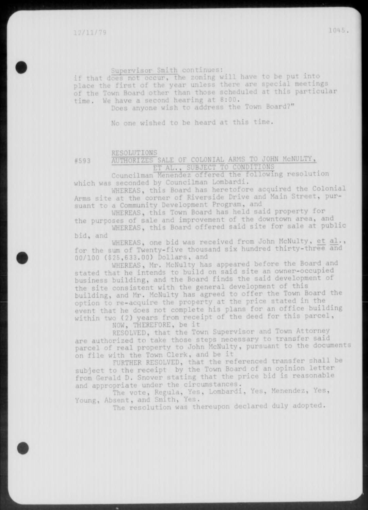Supervisor Smith continues:

if that does not occur, the zoning will have to be put into place the first of the year unless there are special meetings of the Town Board other than those scheduled at this particular time. We have a second hearing at 8:00.

Does anyone wish to address the Town Board?"

No one wished to be heard at this time.

### RESOLUTIONS

### #593 AUTHORIZES SALE OF COLONIAL ARMS TO JOHN MCNULTY, ET AL. , SUBJECT TO CONDITIONS

Councilman Menendez offered the\_following resolution which was seconded by Councilman Lombardi.

WHEREAS, this Board has heretofore acquired the Colonial Arms site at the corner of Riverside Drive and Main Street, pursuant to a Community Development Program, and

WHEREAS, this Town Board has held said property for the purposes of sale and improvement of the downtown area, and

WHEREAS, this Board offered said site for sale at public bid, and

WHEREAS, one bid was received from John McNulty, et al., for the sum of Twenty-five thousand six hundred thirty-three and 00/100 (\$25,633.00) Dollars, and

WHEREAS, Mr. McNulty has appeared before the Board and stated that he intends to build on said site an **owner**-occupied business building, and the Board finds the said development of the site consistent with the general development of this building, and Mr. McNulty has agreed to offer the Town Board the option to re-acquire the property at the price stated in the event that he does not complete his plans for an office building within two (2) years from receipt of the deed for this parcel ,

NOW, THEREFORE, be it

RESOLVED, that the Town Supervisor and Town Attorney are authorized to take those steps necessary to transfer said parcel of real property to John McNulty, pursuant to the documents on file with the Town Clerk, and be it

FURTHER RESOLVED, that the referenced transfer shall be subject to the receipt by the Town Board of an opinion letter from Gerald D. Snover stating that the price bid is reasonable and appropriate under the circumstances.

The vote, Regula, Yes, Lombardi, Yes, Menendez, Yes, Young, Absent, and Smith, Yes.

The resolution was thereupon declared duly adopted.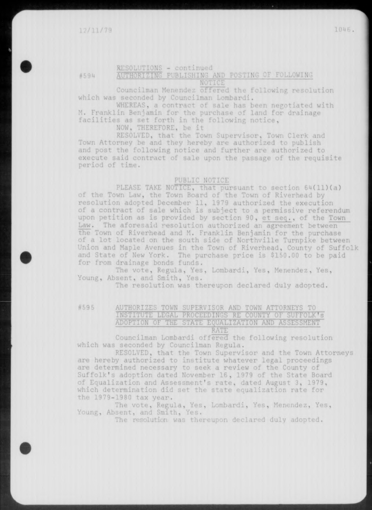### RESOLUTIONS - continued

#594 AUTHORIZING PUBLISHING AND POSTING OF FOLLOWING NOTICE

Councilman Menendez offered the following resolution which was seconded by Councilman Lombardi.

WHEREAS, a contract of sale has been negotiated with M. Franklin Benjamin for the purchase of land for drainage facilities as set forth in the following notice ,

NOW, THEREFORE, be it

RESOLVED, that the Town Supervisor, Town Clerk and Town Attorney be and they hereby are authorized to publish and post the following notice and further are authorized to execute said contract of sale upon the passage of the requisite period of time.

### PUBLIC NOTICE

PLEASE TAKE NOTICE, that pursuant to section 64(11)(a) of the Town Law, the Town Board of the Town of Riverhead by resolution adopted December 11, 1979 authorized the execution of a contract of sale which is subject to a permissive referendum upon petition as is provided by section 90 , et sea. , of the Town Law. The aforesaid resolution authorized an agreement between the Town of Riverhead and M. Franklin Benjamin for the purchase of a lot located on the south side of Northville Turnpike between Union and Maple Avenues in the Town of Riverhead, County of Suffolk and State of New York. The purchase price is \$150.00 to be paid for from drainage bonds funds .

The vote, Regula, Yes, Lombardi, Yes, Menendez, Yes, Young, Absent, and Smith, Yes.

The resolution was thereupon declared duly adopted.

### #595 AUTHORIZES TOWN SUPERVISOR AND TOWN ATTORNEYS TO INSTITUTE LEGAL PROCEEDINGS RE COUNTY OF SUFFOLK'S ADOPTION OF THE STATE EQUALIZATION AND ASSESSMENT RATE

Councilman Lombardi offered the following resolution which was seconded by Councilman Regula.

RESOLVED, that the Town Supervisor and the Town Attorneys are hereby authorized to institute whatever legal proceedings are determined necessary to seek a review of the County of Suffolk's adoption dated November 16 , 1979 of the State Board of Equalization and Assessment's rate, dated August 3, 1979, which determination did set the state equalization rate for the 1979-1980 tax year .

The vote, Regula, Yes, Lombardi, Yes, Menendez, Yes, Young, Absent, and Smith, Yes.

The resolution was thereupon declared duly adopted.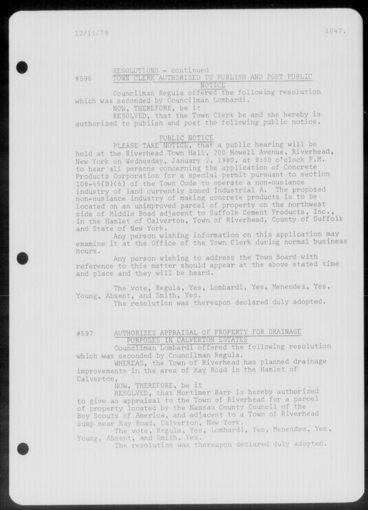### RESOLUTIONS - continued #596 TOWN CLERK AUTHORIZED TO PUBLISH AND POST PUBLIC

NOTICE

Councilman Regula offered the following resolution which was seconded by Councilman Lombardi.

NOW, THEREFORE, be it

RESOLVED, that the Town Clerk be and she hereby is authorized to publish and post the following public notice.

### PUBLIC NOTICE

PLEASE TAKE NOTICE, that a public hearing will be held at the Riverhead Town Hall, 200 Howell Avenue, Riverhead, New York on Wednesday, January 2, 1980, at 8:00 o'clock P.M. to hear all persons concerning the application of Concrete\_ Products Corporation for a special permit pursuant to section 108-45(B) (5) of the Town Code to operate a non-nusiance industry of land currently zoned Industrial A. The proposed non-nusiance industry of making concrete products is to be located on an unimproved parcel of property on the northwest side of Middle Road adjacent to Suffolk Cement Products, Inc., in the Hamlet of Calverton, Town of Riverhead, County of Suffolk and State of New York.

Any person wishing information on this application may examine it at the Office of the Town Clerk during normal business hours.

Any person wishing to address the Town Board with reference to this matter should appear at the above stated time and place and they will be heard.

The vote, Regula, Yes, Lombardi, Yes, Menendez, Yes, Young, Absent, and Smith, Yes.

The resolution was thereupon declared duly adopted.

### #597 AUTHORIZES APPRAISAL Or PROPERTY FOR DRAINAGE PURPOSES IN CALVERTON ESTATES

Councilman Lombardi offered the following resolution which was seconded by Councilman Regula.

WHEREAS, the Town of Riverhead has planned drainage improvements in the area of Kay Road in the Hamlet of Calverton,

NOW, THEREFORE, be it

RESOLVED, that Mortimer Barr is hereby authorized to give an appraisal to the Town of Riverhead for a parcel of property located by the Nassau County Council of the Boy Scouts of America, and adjacent to a Town of Riverhead sump near Kay Road, Calverton, New York.

The vote, Regula, Yes, Lombardi, Yes, Menendez, Yes, Younp., Absent, and Smith, Yes.

The resolution was thereupon declared duly adopted.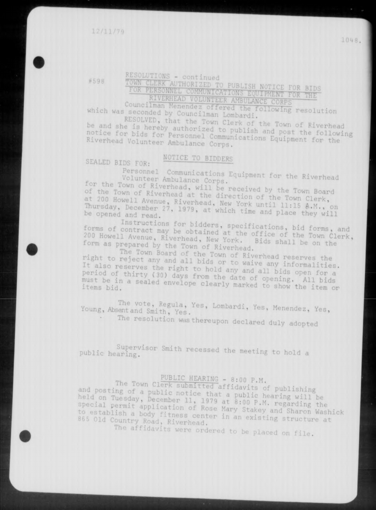10M8.

# RESOLUTIONS - continued

**Councilman** Menendez offened the following  $h$  was seconded by Councilman Lombardi.

be and she is hereby authorized to publish and post RESOLVED, that the Town Clerk of the Town of Riverhead notice for bids for Personnel Communications Fost the following Riverhead Volunteer Ambulance Competitions Equipment for the

### **NOTICE TO BIDDERS**

 $SEALED$  **BIDS** FOR:

Volunteer Ambulance Corps. The Rivernead for the Town of Rivernead, will be received by the Town Board s adapment for

or the Town of Riverhead at the direction of the Town Oldru be opened and read.

forms of contract may be obtained it in equations, bid forms, 200 Howell Avenue, Riverhead, New York, Ifice of the Town Clerk, form as prepared by the Town of Riverhead. 200 Howell Avenue, Riverhead, New York. Bids shall be on the

right to reject The Town Board of the Town of Riverhead reserves the It also reserves the right to hold any and all bill period of thirty (30) days from the date of opening. All bids<br>must be in a sealed envelope on must be in a sealed envelope clearly marked to show the item or

Young, Absent and Smith, Yes. **<sup>L</sup> ° mbardi ' YeS '<sup>M</sup> \*-ndez , y e S ,** 

• The resolution was thereupon declared duly adopted

public hearing. Supervisor Smith recessed the meeting to hold a

# PUBLIC HEARING - 8:00 P.M.

and posting of a public potice that held on Tuesday, December 11, 1979 at 8:00 B Maring will be to establish a body fitness center in an existing structure at 865 Old Country Road, Riverhead.

The affidavits were ordered to be placed on file.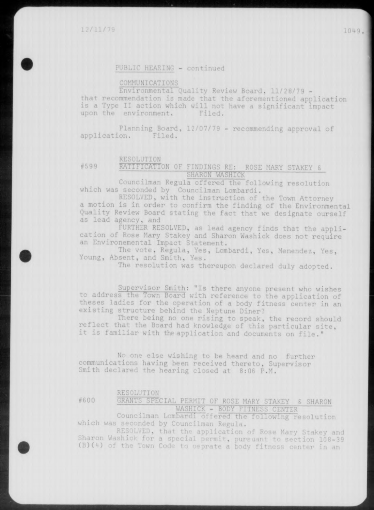### **PUBLIC HEARING - continued**

### COMMUNICATIONS

Environmental Quality Review Board, 11/28/79 that recommendation is made that the aforementioned application is a Type II action which will not have a significant impact upon the environment. Filed.

Planning Board, 12/07/79 - recommending approval of application. Filed.

### RESOLUTION

### #599 RATIFICATION OF FINDINGS RE: ROSE MARY STAKEY 8 **SHAK0 <sup>N</sup> WASHJCK**

Councilman Regula offered the following resolution which was seconded by Councilman Lombardi.

RESOLVED, with the instruction of the Town Attorney a motion is in order to confirm the finding of the Environmental Quality Review Board stating the fact that we designate ourself as lead agency, and

FURTHER RESOLVED, as lead agency finds that the application of Rose Mary Stakey and Sharon Washick does not require an Environemental Impact Statement.

The vote, Regula, Yes, Lombardi, Yes, Menendez, Yes, Young, Absent, and Smith, Yes.

The resolution was thereupon declared duly adopted.

Supervisor Smith: "Is there anyone present who wishes to address the Town Board with reference to the application of theses ladies for the operation of a body fitness center in an existing structure behind the Neptune Diner?

There being no one rising to speak, the record should reflect that the Board had knowledge of this particular site , it is familiar with the application and documents on file."

No one else wishing to be heard and no further communications having been received thereto, Supervisor Smith declared the hearing closed at 8:06 P.M.

### RESOLUTION

#600 GRANTS SPECIAL PERMIT OF ROSE MARY STAKEY S SHARON WASHICK - BODY FITNESS CENTER

Councilman Lombardi offered the following resolution which was seconded by Councilman Regula.

RESOLVED, that the application of Rose Mary Stakey and Sharon Washick for a special permit, pursuant to section 108-39 (B)(4) of the Town Code to oeprate a body fitness center in an